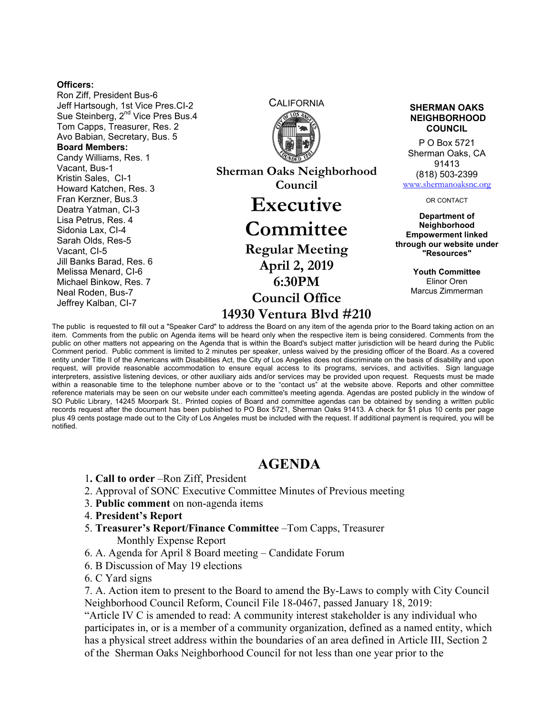## **Officers:**

Ron Ziff, President Bus-6 Jeff Hartsough, 1st Vice Pres.CI-2 Sue Steinberg, 2<sup>nd</sup> Vice Pres Bus.4 Tom Capps, Treasurer, Res. 2 Avo Babian, Secretary, Bus. 5 **Board Members:**  Candy Williams, Res. 1 Vacant, Bus-1 Kristin Sales, CI-1 Howard Katchen, Res. 3 Fran Kerzner, Bus.3 Deatra Yatman, CI-3 Lisa Petrus, Res. 4 Sidonia Lax, CI-4 Sarah Olds, Res-5 Vacant, CI-5 Jill Banks Barad, Res. 6 Melissa Menard, CI-6 Michael Binkow, Res. 7 Neal Roden, Bus-7 Jeffrey Kalban, CI-7



**Sherman Oaks Neighborhood Council Executive** 

## **Committee**

**Regular Meeting April 2, 2019 6:30PM Council Office 14930 Ventura Blvd #210** **SHERMAN OAKS NEIGHBORHOOD COUNCIL**

P O Box 5721 Sherman Oaks, CA 91413 (818) 503-2399 www.shermanoaksnc.org

OR CONTACT

**Department of Neighborhood Empowerment linked through our website under "Resources"** 

> **Youth Committee**  Elinor Oren Marcus Zimmerman

The public is requested to fill out a "Speaker Card" to address the Board on any item of the agenda prior to the Board taking action on an item. Comments from the public on Agenda items will be heard only when the respective item is being considered. Comments from the public on other matters not appearing on the Agenda that is within the Board's subject matter jurisdiction will be heard during the Public Comment period. Public comment is limited to 2 minutes per speaker, unless waived by the presiding officer of the Board. As a covered entity under Title II of the Americans with Disabilities Act, the City of Los Angeles does not discriminate on the basis of disability and upon request, will provide reasonable accommodation to ensure equal access to its programs, services, and activities. Sign language interpreters, assistive listening devices, or other auxiliary aids and/or services may be provided upon request. Requests must be made within a reasonable time to the telephone number above or to the "contact us" at the website above. Reports and other committee reference materials may be seen on our website under each committee's meeting agenda. Agendas are posted publicly in the window of SO Public Library, 14245 Moorpark St.. Printed copies of Board and committee agendas can be obtained by sending a written public records request after the document has been published to PO Box 5721, Sherman Oaks 91413. A check for \$1 plus 10 cents per page plus 49 cents postage made out to the City of Los Angeles must be included with the request. If additional payment is required, you will be notified.

## **AGENDA**

- 1**. Call to order** –Ron Ziff, President
- 2. Approval of SONC Executive Committee Minutes of Previous meeting
- 3. **Public comment** on non-agenda items
- 4. **President's Report**
- 5. **Treasurer's Report/Finance Committee** –Tom Capps, Treasurer Monthly Expense Report
- 6. A. Agenda for April 8 Board meeting Candidate Forum
- 6. B Discussion of May 19 elections
- 6. C Yard signs

7. A. Action item to present to the Board to amend the By-Laws to comply with City Council Neighborhood Council Reform, Council File 18-0467, passed January 18, 2019:

"Article IV C is amended to read: A community interest stakeholder is any individual who participates in, or is a member of a community organization, defined as a named entity, which has a physical street address within the boundaries of an area defined in Article III, Section 2 of the Sherman Oaks Neighborhood Council for not less than one year prior to the